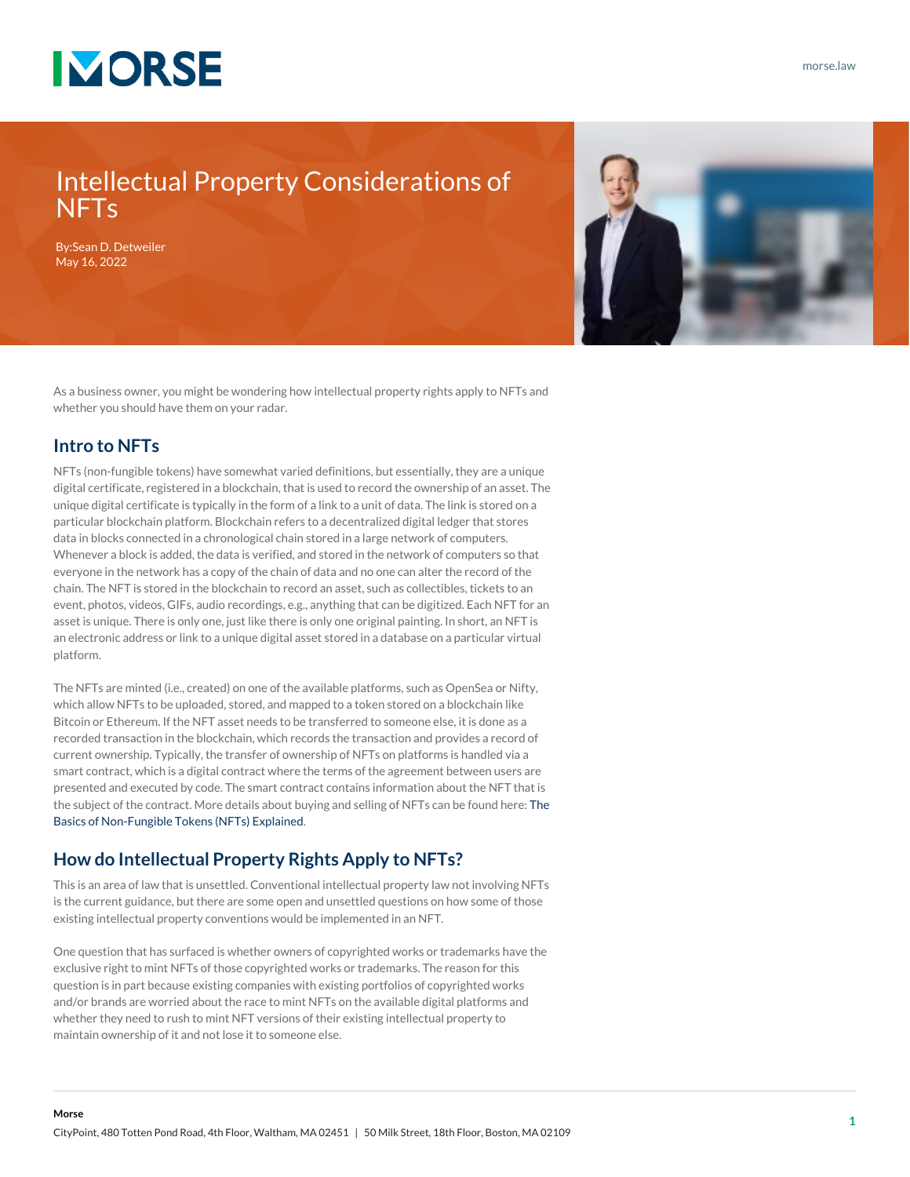

### Intellectual Property Considerations of **NFT<sub>s</sub>**

By:[Sean D. Detweiler](https://www.morse.law/attorney/sean-detweiler/) May 16, 2022



As a business owner, you might be wondering how intellectual property rights apply to NFTs and whether you should have them on your radar.

#### **Intro to NFTs**

**Morse**

NFTs (non-fungible tokens) have somewhat varied definitions, but essentially, they are a unique digital certificate, registered in a blockchain, that is used to record the ownership of an asset. The unique digital certificate is typically in the form of a link to a unit of data. The link is stored on a particular blockchain platform. Blockchain refers to a decentralized digital ledger that stores data in blocks connected in a chronological chain stored in a large network of computers. Whenever a block is added, the data is verified, and stored in the network of computers so that everyone in the network has a copy of the chain of data and no one can alter the record of the chain. The NFT is stored in the blockchain to record an asset, such as collectibles, tickets to an event, photos, videos, GIFs, audio recordings, e.g., anything that can be digitized. Each NFT for an asset is unique. There is only one, just like there is only one original painting. In short, an NFT is an electronic address or link to a unique digital asset stored in a database on a particular virtual platform.

The NFTs are minted (i.e., created) on one of the available platforms, such as OpenSea or Nifty, which allow NFTs to be uploaded, stored, and mapped to a token stored on a blockchain like Bitcoin or Ethereum. If the NFT asset needs to be transferred to someone else, it is done as a recorded transaction in the blockchain, which records the transaction and provides a record of current ownership. Typically, the transfer of ownership of NFTs on platforms is handled via a smart contract, which is a digital contract where the terms of the agreement between users are presented and executed by code. The smart contract contains information about the NFT that is the subject of the contract. More details about buying and selling of NFTs can be found here: [The](https://www.morse.law/news/nft-basics-explained/) [Basics of Non-Fungible Tokens \(NFTs\) Explained](https://www.morse.law/news/nft-basics-explained/).

#### **How do Intellectual Property Rights Apply to NFTs?**

This is an area of law that is unsettled. Conventional intellectual property law not involving NFTs is the current guidance, but there are some open and unsettled questions on how some of those existing intellectual property conventions would be implemented in an NFT.

One question that has surfaced is whether owners of copyrighted works or trademarks have the exclusive right to mint NFTs of those copyrighted works or trademarks. The reason for this question is in part because existing companies with existing portfolios of copyrighted works and/or brands are worried about the race to mint NFTs on the available digital platforms and whether they need to rush to mint NFT versions of their existing intellectual property to maintain ownership of it and not lose it to someone else.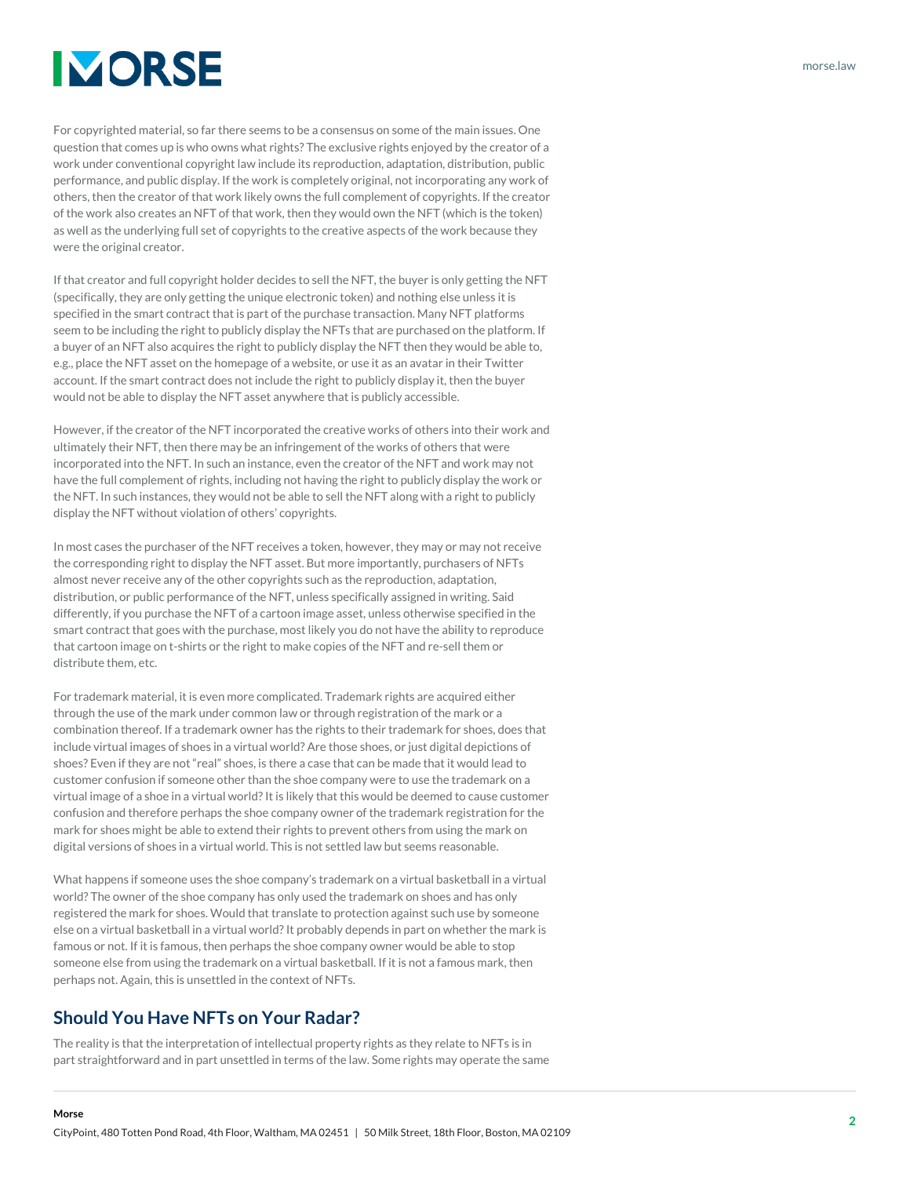## **IMORSE**

For copyrighted material, so far there seems to be a consensus on some of the main issues. One question that comes up is who owns what rights? The exclusive rights enjoyed by the creator of a work under conventional copyright law include its reproduction, adaptation, distribution, public performance, and public display. If the work is completely original, not incorporating any work of others, then the creator of that work likely owns the full complement of copyrights. If the creator of the work also creates an NFT of that work, then they would own the NFT (which is the token) as well as the underlying full set of copyrights to the creative aspects of the work because they were the original creator.

If that creator and full copyright holder decides to sell the NFT, the buyer is only getting the NFT (specifically, they are only getting the unique electronic token) and nothing else unless it is specified in the smart contract that is part of the purchase transaction. Many NFT platforms seem to be including the right to publicly display the NFTs that are purchased on the platform. If a buyer of an NFT also acquires the right to publicly display the NFT then they would be able to, e.g., place the NFT asset on the homepage of a website, or use it as an avatar in their Twitter account. If the smart contract does not include the right to publicly display it, then the buyer would not be able to display the NFT asset anywhere that is publicly accessible.

However, if the creator of the NFT incorporated the creative works of others into their work and ultimately their NFT, then there may be an infringement of the works of others that were incorporated into the NFT. In such an instance, even the creator of the NFT and work may not have the full complement of rights, including not having the right to publicly display the work or the NFT. In such instances, they would not be able to sell the NFT along with a right to publicly display the NFT without violation of others' copyrights.

In most cases the purchaser of the NFT receives a token, however, they may or may not receive the corresponding right to display the NFT asset. But more importantly, purchasers of NFTs almost never receive any of the other copyrights such as the reproduction, adaptation, distribution, or public performance of the NFT, unless specifically assigned in writing. Said differently, if you purchase the NFT of a cartoon image asset, unless otherwise specified in the smart contract that goes with the purchase, most likely you do not have the ability to reproduce that cartoon image on t-shirts or the right to make copies of the NFT and re-sell them or distribute them, etc.

For trademark material, it is even more complicated. Trademark rights are acquired either through the use of the mark under common law or through registration of the mark or a combination thereof. If a trademark owner has the rights to their trademark for shoes, does that include virtual images of shoes in a virtual world? Are those shoes, or just digital depictions of shoes? Even if they are not "real" shoes, is there a case that can be made that it would lead to customer confusion if someone other than the shoe company were to use the trademark on a virtual image of a shoe in a virtual world? It is likely that this would be deemed to cause customer confusion and therefore perhaps the shoe company owner of the trademark registration for the mark for shoes might be able to extend their rights to prevent others from using the mark on digital versions of shoes in a virtual world. This is not settled law but seems reasonable.

What happens if someone uses the shoe company's trademark on a virtual basketball in a virtual world? The owner of the shoe company has only used the trademark on shoes and has only registered the mark for shoes. Would that translate to protection against such use by someone else on a virtual basketball in a virtual world? It probably depends in part on whether the mark is famous or not. If it is famous, then perhaps the shoe company owner would be able to stop someone else from using the trademark on a virtual basketball. If it is not a famous mark, then perhaps not. Again, this is unsettled in the context of NFTs.

### **Should You Have NFTs on Your Radar?**

**Morse**

The reality is that the interpretation of intellectual property rights as they relate to NFTs is in part straightforward and in part unsettled in terms of the law. Some rights may operate the same